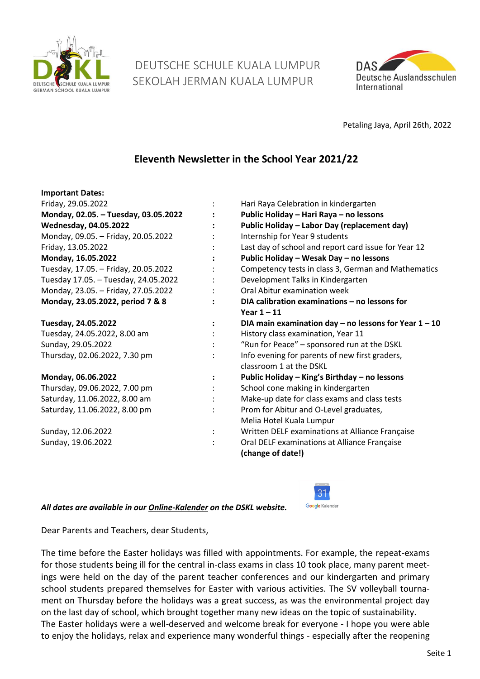

# DEUTSCHE SCHULE KUALA LUMPUR SEKOLAH JERMAN KUALA LUMPUR



Petaling Jaya, April 26th, 2022

# **Eleventh Newsletter in the School Year 2021/22**

| <b>Important Dates:</b>              |                                                         |  |  |
|--------------------------------------|---------------------------------------------------------|--|--|
| Friday, 29.05.2022                   | Hari Raya Celebration in kindergarten                   |  |  |
| Monday, 02.05. - Tuesday, 03.05.2022 | Public Holiday - Hari Raya - no lessons                 |  |  |
| <b>Wednesday, 04.05.2022</b>         | Public Holiday - Labor Day (replacement day)            |  |  |
| Monday, 09.05. - Friday, 20.05.2022  | Internship for Year 9 students                          |  |  |
| Friday, 13.05.2022                   | Last day of school and report card issue for Year 12    |  |  |
| Monday, 16.05.2022                   | Public Holiday - Wesak Day - no lessons                 |  |  |
| Tuesday, 17.05. - Friday, 20.05.2022 | Competency tests in class 3, German and Mathematics     |  |  |
| Tuesday 17.05. - Tuesday, 24.05.2022 | Development Talks in Kindergarten                       |  |  |
| Monday, 23.05. - Friday, 27.05.2022  | Oral Abitur examination week                            |  |  |
| Monday, 23.05.2022, period 7 & 8     | DIA calibration examinations - no lessons for           |  |  |
|                                      | Year $1 - 11$                                           |  |  |
| Tuesday, 24.05.2022                  | DIA main examination day – no lessons for Year $1 - 10$ |  |  |
| Tuesday, 24.05.2022, 8.00 am         | History class examination, Year 11                      |  |  |
| Sunday, 29.05.2022                   | "Run for Peace" - sponsored run at the DSKL             |  |  |
| Thursday, 02.06.2022, 7.30 pm        | Info evening for parents of new first graders,          |  |  |
|                                      | classroom 1 at the DSKL                                 |  |  |
| Monday, 06.06.2022                   | Public Holiday - King's Birthday - no lessons           |  |  |
| Thursday, 09.06.2022, 7.00 pm        | School cone making in kindergarten                      |  |  |
| Saturday, 11.06.2022, 8.00 am        | Make-up date for class exams and class tests            |  |  |
| Saturday, 11.06.2022, 8.00 pm        | Prom for Abitur and O-Level graduates,                  |  |  |
|                                      | Melia Hotel Kuala Lumpur                                |  |  |
| Sunday, 12.06.2022                   | Written DELF examinations at Alliance Française         |  |  |
| Sunday, 19.06.2022                   | Oral DELF examinations at Alliance Française            |  |  |
|                                      | (change of date!)                                       |  |  |

*All dates are available in our [Online-Kalender](https://www.dskl.edu.my/kalender/) on the DSKL website.* 



Dear Parents and Teachers, dear Students,

The time before the Easter holidays was filled with appointments. For example, the repeat-exams for those students being ill for the central in-class exams in class 10 took place, many parent meetings were held on the day of the parent teacher conferences and our kindergarten and primary school students prepared themselves for Easter with various activities. The SV volleyball tournament on Thursday before the holidays was a great success, as was the environmental project day on the last day of school, which brought together many new ideas on the topic of sustainability. The Easter holidays were a well-deserved and welcome break for everyone - I hope you were able to enjoy the holidays, relax and experience many wonderful things - especially after the reopening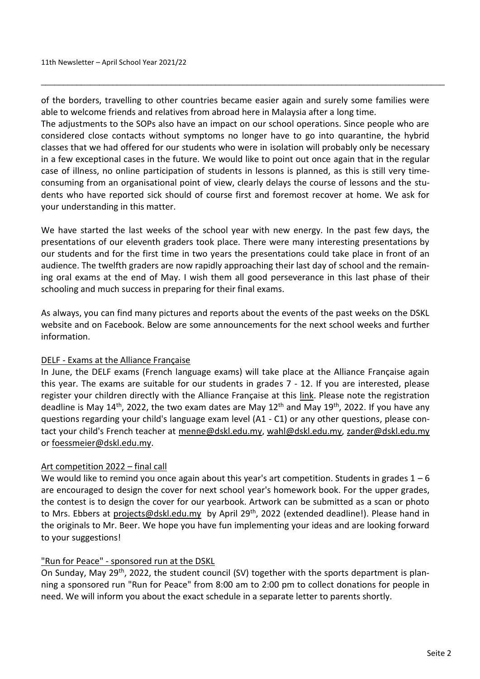of the borders, travelling to other countries became easier again and surely some families were able to welcome friends and relatives from abroad here in Malaysia after a long time.

\_\_\_\_\_\_\_\_\_\_\_\_\_\_\_\_\_\_\_\_\_\_\_\_\_\_\_\_\_\_\_\_\_\_\_\_\_\_\_\_\_\_\_\_\_\_\_\_\_\_\_\_\_\_\_\_\_\_\_\_\_\_\_\_\_\_\_\_\_\_\_\_\_\_\_\_\_\_\_\_\_\_\_\_\_\_\_\_\_\_

The adjustments to the SOPs also have an impact on our school operations. Since people who are considered close contacts without symptoms no longer have to go into quarantine, the hybrid classes that we had offered for our students who were in isolation will probably only be necessary in a few exceptional cases in the future. We would like to point out once again that in the regular case of illness, no online participation of students in lessons is planned, as this is still very timeconsuming from an organisational point of view, clearly delays the course of lessons and the students who have reported sick should of course first and foremost recover at home. We ask for your understanding in this matter.

We have started the last weeks of the school year with new energy. In the past few days, the presentations of our eleventh graders took place. There were many interesting presentations by our students and for the first time in two years the presentations could take place in front of an audience. The twelfth graders are now rapidly approaching their last day of school and the remaining oral exams at the end of May. I wish them all good perseverance in this last phase of their schooling and much success in preparing for their final exams.

As always, you can find many pictures and reports about the events of the past weeks on the DSKL website and on Facebook. Below are some announcements for the next school weeks and further information.

# DELF - Exams at the Alliance Française

In June, the DELF exams (French language exams) will take place at the Alliance Française again this year. The exams are suitable for our students in grades 7 - 12. If you are interested, please register your children directly with the Alliance Française at this [link.](https://www.alliancefrancaise.org.my/diplomas/delf-dalf/) Please note the registration deadline is May 14<sup>th</sup>, 2022, the two exam dates are May 12<sup>th</sup> and May 19<sup>th</sup>, 2022. If you have any questions regarding your child's language exam level (A1 - C1) or any other questions, please contact your child's French teacher at [menne@dskl.edu.my,](mailto:menne@dskl.edu.my) [wahl@dskl.edu.my,](mailto:wahl@dskl.edu.my) [zander@dskl.edu.my](mailto:zander@dskl.edu.my) or [foessmeier@dskl.edu.my.](mailto:foessmeier@dskl.edu.my)

# Art competition 2022 – final call

We would like to remind you once again about this year's art competition. Students in grades  $1 - 6$ are encouraged to design the cover for next school year's homework book. For the upper grades, the contest is to design the cover for our yearbook. Artwork can be submitted as a scan or photo to Mrs. Ebbers at [projects@dskl.edu.my](mailto:projects@dskl.edu.my) by April 29<sup>th</sup>, 2022 (extended deadline!). Please hand in the originals to Mr. Beer. We hope you have fun implementing your ideas and are looking forward to your suggestions!

#### "Run for Peace" - sponsored run at the DSKL

On Sunday, May 29<sup>th</sup>, 2022, the student council (SV) together with the sports department is planning a sponsored run "Run for Peace" from 8:00 am to 2:00 pm to collect donations for people in need. We will inform you about the exact schedule in a separate letter to parents shortly.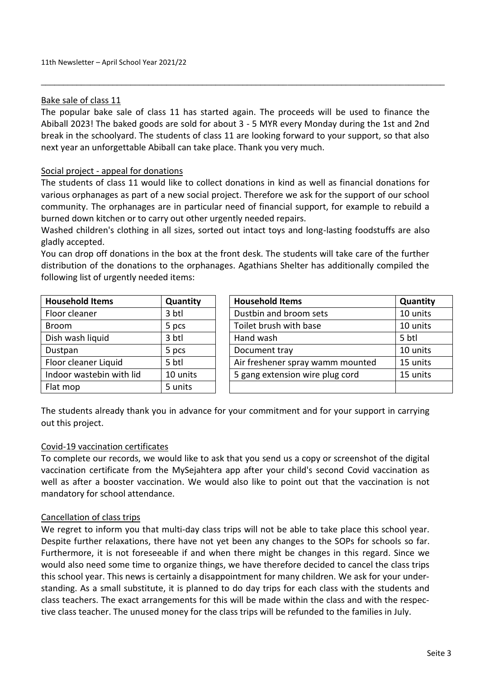#### Bake sale of class 11

The popular bake sale of class 11 has started again. The proceeds will be used to finance the Abiball 2023! The baked goods are sold for about 3 - 5 MYR every Monday during the 1st and 2nd break in the schoolyard. The students of class 11 are looking forward to your support, so that also next year an unforgettable Abiball can take place. Thank you very much.

\_\_\_\_\_\_\_\_\_\_\_\_\_\_\_\_\_\_\_\_\_\_\_\_\_\_\_\_\_\_\_\_\_\_\_\_\_\_\_\_\_\_\_\_\_\_\_\_\_\_\_\_\_\_\_\_\_\_\_\_\_\_\_\_\_\_\_\_\_\_\_\_\_\_\_\_\_\_\_\_\_\_\_\_\_\_\_\_\_\_

#### Social project - appeal for donations

The students of class 11 would like to collect donations in kind as well as financial donations for various orphanages as part of a new social project. Therefore we ask for the support of our school community. The orphanages are in particular need of financial support, for example to rebuild a burned down kitchen or to carry out other urgently needed repairs.

Washed children's clothing in all sizes, sorted out intact toys and long-lasting foodstuffs are also gladly accepted.

You can drop off donations in the box at the front desk. The students will take care of the further distribution of the donations to the orphanages. Agathians Shelter has additionally compiled the following list of urgently needed items:

| <b>Household Items</b>   | Quantity | <b>Household Items</b>           | Quantity |
|--------------------------|----------|----------------------------------|----------|
| Floor cleaner            | 3 btl    | Dustbin and broom sets           | 10 units |
| <b>Broom</b>             | 5 pcs    | Toilet brush with base           | 10 units |
| Dish wash liquid         | 3 btl    | Hand wash                        | 5 btl    |
| Dustpan                  | 5 pcs    | Document tray                    | 10 units |
| Floor cleaner Liquid     | 5 btl    | Air freshener spray wamm mounted | 15 units |
| Indoor wastebin with lid | 10 units | 5 gang extension wire plug cord  | 15 units |
| Flat mop                 | 5 units  |                                  |          |

The students already thank you in advance for your commitment and for your support in carrying out this project.

#### Covid-19 vaccination certificates

To complete our records, we would like to ask that you send us a copy or screenshot of the digital vaccination certificate from the MySejahtera app after your child's second Covid vaccination as well as after a booster vaccination. We would also like to point out that the vaccination is not mandatory for school attendance.

#### Cancellation of class trips

We regret to inform you that multi-day class trips will not be able to take place this school year. Despite further relaxations, there have not yet been any changes to the SOPs for schools so far. Furthermore, it is not foreseeable if and when there might be changes in this regard. Since we would also need some time to organize things, we have therefore decided to cancel the class trips this school year. This news is certainly a disappointment for many children. We ask for your understanding. As a small substitute, it is planned to do day trips for each class with the students and class teachers. The exact arrangements for this will be made within the class and with the respective class teacher. The unused money for the class trips will be refunded to the families in July.